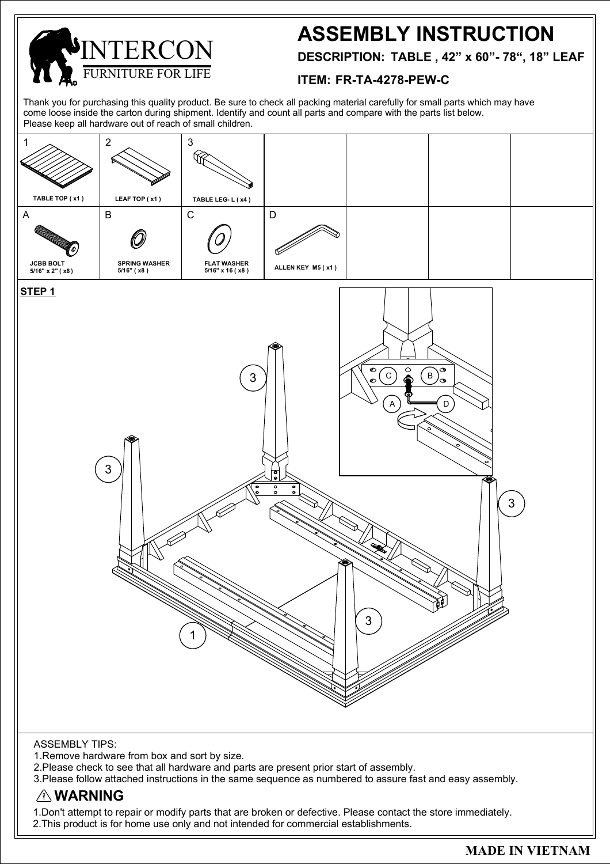

# **ASSEMBLY INSTRUCTION**

**DESCRIPTION: TABLE , 42" x 60"- 78", 18" LEAF**

#### **ITEM: FR-TA-4278-PEW-C**

Thank you for purchasing this quality product. Be sure to check all packing material carefully for small parts which may have come loose inside the carton during shipment. Identify and count all parts and compare with the parts list below. Please keep all hardware out of reach of small children.



2.Please check to see that all hardware and parts are present prior start of assembly.

3.Please follow attached instructions in the same sequence as numbered to assure fast and easy assembly.

### **WARNING**

1.Don't attempt to repair or modify parts that are broken or defective. Please contact the store immediately. 2.This product is for home use only and not intended for commercial establishments.